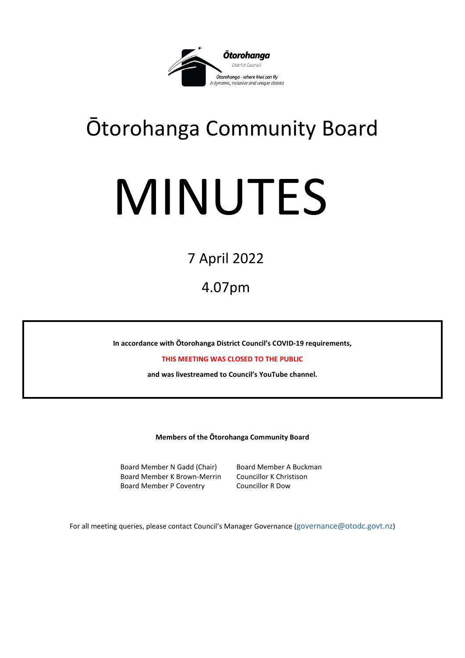

## Ōtorohanga Community Board

# MINUTES

### 7 April 2022

4.07pm

**In accordance with Ōtorohanga District Council's COVID-19 requirements,** 

**THIS MEETING WAS CLOSED TO THE PUBLIC**

**and was livestreamed to Council's YouTube channel.** 

**Members of the Ōtorohanga Community Board**

Board Member N Gadd (Chair) Board Member A Buckman Board Member K Brown-Merrin Councillor K Christison Board Member P Coventry Councillor R Dow

For all meeting queries, please contact Council's Manager Governance ([governance@otodc.govt.nz\)](mailto:governance@otodc.govt.nz)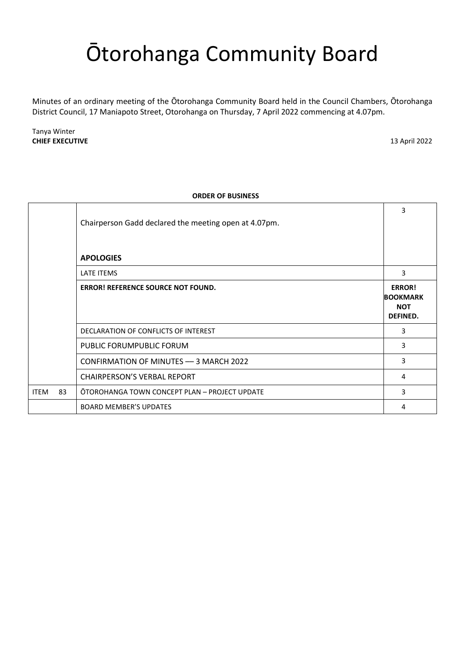## Ōtorohanga Community Board

Minutes of an ordinary meeting of the Ōtorohanga Community Board held in the Council Chambers, Ōtorohanga District Council, 17 Maniapoto Street, Otorohanga on Thursday, 7 April 2022 commencing at 4.07pm.

Tanya Winter **CHIEF EXECUTIVE** 13 April 2022

| <b>ORDER OF BUSINESS</b> |                                                       |                                                            |
|--------------------------|-------------------------------------------------------|------------------------------------------------------------|
|                          | Chairperson Gadd declared the meeting open at 4.07pm. | 3                                                          |
|                          | <b>APOLOGIES</b>                                      |                                                            |
|                          | LATE ITEMS                                            | 3                                                          |
|                          | ERROR! REFERENCE SOURCE NOT FOUND.                    | <b>ERROR!</b><br><b>BOOKMARK</b><br><b>NOT</b><br>DEFINED. |
|                          | DECLARATION OF CONFLICTS OF INTEREST                  | 3                                                          |
|                          | PUBLIC FORUMPUBLIC FORUM                              | 3                                                          |
|                          | CONFIRMATION OF MINUTES - 3 MARCH 2022                | 3                                                          |
|                          | <b>CHAIRPERSON'S VERBAL REPORT</b>                    | 4                                                          |
| 83<br><b>ITEM</b>        | OTOROHANGA TOWN CONCEPT PLAN - PROJECT UPDATE         | 3                                                          |
|                          | <b>BOARD MEMBER'S UPDATES</b>                         | 4                                                          |

#### **ORDER OF BUSINESS**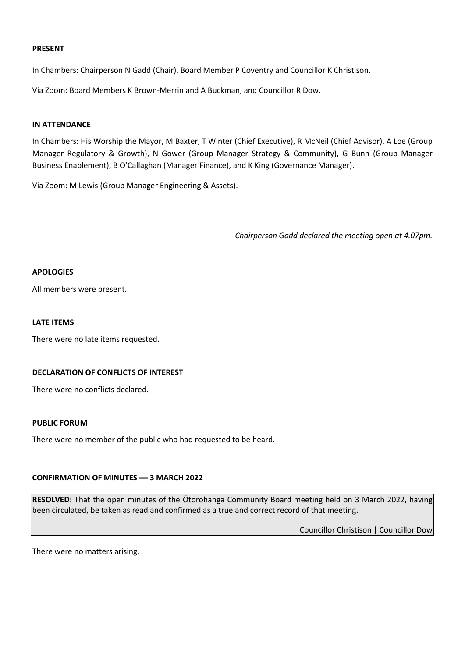#### **PRESENT**

In Chambers: Chairperson N Gadd (Chair), Board Member P Coventry and Councillor K Christison.

Via Zoom: Board Members K Brown-Merrin and A Buckman, and Councillor R Dow.

#### **IN ATTENDANCE**

In Chambers: His Worship the Mayor, M Baxter, T Winter (Chief Executive), R McNeil (Chief Advisor), A Loe (Group Manager Regulatory & Growth), N Gower (Group Manager Strategy & Community), G Bunn (Group Manager Business Enablement), B O'Callaghan (Manager Finance), and K King (Governance Manager).

<span id="page-2-0"></span>Via Zoom: M Lewis (Group Manager Engineering & Assets).

*Chairperson Gadd declared the meeting open at 4.07pm.*

#### **APOLOGIES**

All members were present.

#### <span id="page-2-1"></span>**LATE ITEMS**

There were no late items requested.

#### <span id="page-2-2"></span>**DECLARATION OF CONFLICTS OF INTEREST**

There were no conflicts declared.

#### <span id="page-2-3"></span>**PUBLIC FORUM**

There were no member of the public who had requested to be heard.

#### <span id="page-2-4"></span>**CONFIRMATION OF MINUTES –– 3 MARCH 2022**

**RESOLVED:** That the open minutes of the Ōtorohanga Community Board meeting held on 3 March 2022, having been circulated, be taken as read and confirmed as a true and correct record of that meeting.

Councillor Christison | Councillor Dow

There were no matters arising.